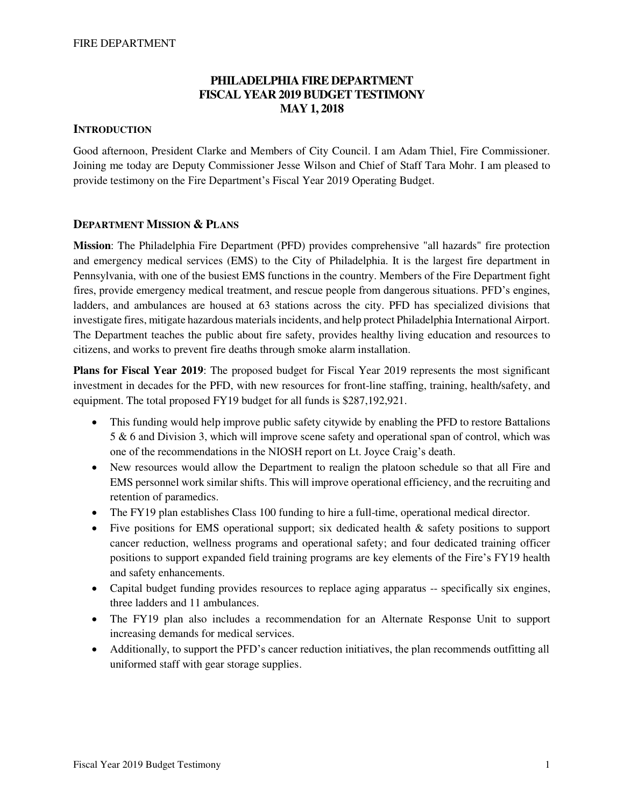# **PHILADELPHIA FIRE DEPARTMENT FISCAL YEAR 2019 BUDGET TESTIMONY MAY 1, 2018**

### **INTRODUCTION**

Good afternoon, President Clarke and Members of City Council. I am Adam Thiel, Fire Commissioner. Joining me today are Deputy Commissioner Jesse Wilson and Chief of Staff Tara Mohr. I am pleased to provide testimony on the Fire Department's Fiscal Year 2019 Operating Budget.

## **DEPARTMENT MISSION & PLANS**

**Mission**: The Philadelphia Fire Department (PFD) provides comprehensive "all hazards" fire protection and emergency medical services (EMS) to the City of Philadelphia. It is the largest fire department in Pennsylvania, with one of the busiest EMS functions in the country. Members of the Fire Department fight fires, provide emergency medical treatment, and rescue people from dangerous situations. PFD's engines, ladders, and ambulances are housed at 63 stations across the city. PFD has specialized divisions that investigate fires, mitigate hazardous materials incidents, and help protect Philadelphia International Airport. The Department teaches the public about fire safety, provides healthy living education and resources to citizens, and works to prevent fire deaths through smoke alarm installation.

**Plans for Fiscal Year 2019**: The proposed budget for Fiscal Year 2019 represents the most significant investment in decades for the PFD, with new resources for front-line staffing, training, health/safety, and equipment. The total proposed FY19 budget for all funds is \$287,192,921.

- This funding would help improve public safety citywide by enabling the PFD to restore Battalions 5 & 6 and Division 3, which will improve scene safety and operational span of control, which was one of the recommendations in the NIOSH report on Lt. Joyce Craig's death.
- New resources would allow the Department to realign the platoon schedule so that all Fire and EMS personnel work similar shifts. This will improve operational efficiency, and the recruiting and retention of paramedics.
- The FY19 plan establishes Class 100 funding to hire a full-time, operational medical director.
- Five positions for EMS operational support; six dedicated health & safety positions to support cancer reduction, wellness programs and operational safety; and four dedicated training officer positions to support expanded field training programs are key elements of the Fire's FY19 health and safety enhancements.
- Capital budget funding provides resources to replace aging apparatus -- specifically six engines, three ladders and 11 ambulances.
- The FY19 plan also includes a recommendation for an Alternate Response Unit to support increasing demands for medical services.
- Additionally, to support the PFD's cancer reduction initiatives, the plan recommends outfitting all uniformed staff with gear storage supplies.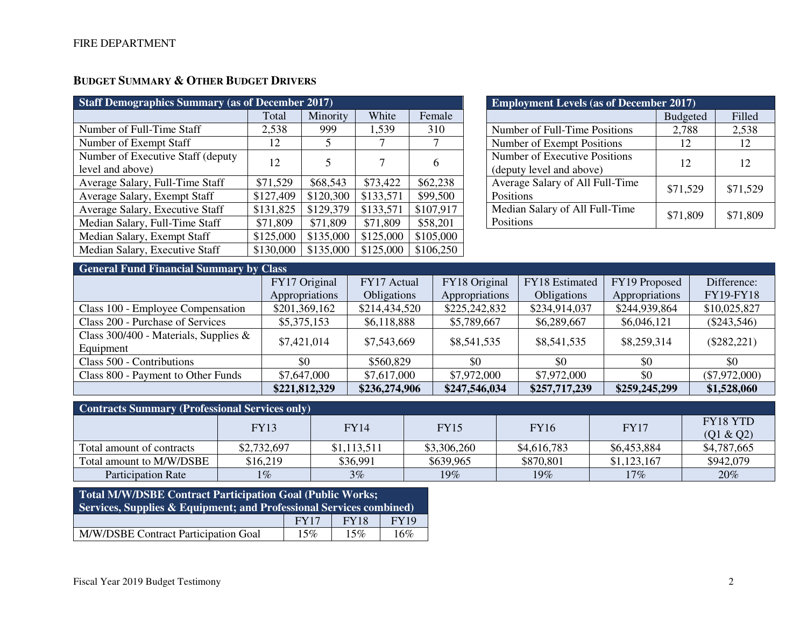# **BUDGET SUMMARY & OTHER BUDGET DRIVERS**

| <b>Staff Demographics Summary (as of December 2017)</b> |           |           |           |           |  |  |  |  |  |
|---------------------------------------------------------|-----------|-----------|-----------|-----------|--|--|--|--|--|
|                                                         | Total     | Minority  | White     | Female    |  |  |  |  |  |
| Number of Full-Time Staff                               | 2,538     | 999       | 1,539     | 310       |  |  |  |  |  |
| Number of Exempt Staff                                  | 12        | 5         |           |           |  |  |  |  |  |
| Number of Executive Staff (deputy)                      | 12        | 5         | 7         | 6         |  |  |  |  |  |
| level and above)                                        |           |           |           |           |  |  |  |  |  |
| Average Salary, Full-Time Staff                         | \$71,529  | \$68,543  | \$73,422  | \$62,238  |  |  |  |  |  |
| Average Salary, Exempt Staff                            | \$127,409 | \$120,300 | \$133,571 | \$99,500  |  |  |  |  |  |
| Average Salary, Executive Staff                         | \$131,825 | \$129,379 | \$133,571 | \$107,917 |  |  |  |  |  |
| Median Salary, Full-Time Staff                          | \$71,809  | \$71,809  | \$71,809  | \$58,201  |  |  |  |  |  |
| Median Salary, Exempt Staff                             | \$125,000 | \$135,000 | \$125,000 | \$105,000 |  |  |  |  |  |
| Median Salary, Executive Staff                          | \$130,000 | \$135,000 | \$125,000 | \$106,250 |  |  |  |  |  |

| <b>Employment Levels (as of December 2017)</b> |                 |          |  |  |  |  |  |  |
|------------------------------------------------|-----------------|----------|--|--|--|--|--|--|
|                                                | <b>Budgeted</b> | Filled   |  |  |  |  |  |  |
| Number of Full-Time Positions                  | 2,788           | 2,538    |  |  |  |  |  |  |
| Number of Exempt Positions                     | 12              | 12       |  |  |  |  |  |  |
| Number of Executive Positions                  | 12              | 12       |  |  |  |  |  |  |
| (deputy level and above)                       |                 |          |  |  |  |  |  |  |
| Average Salary of All Full-Time                | \$71,529        | \$71,529 |  |  |  |  |  |  |
| Positions                                      |                 |          |  |  |  |  |  |  |
| Median Salary of All Full-Time                 | \$71,809        | \$71,809 |  |  |  |  |  |  |
| Positions                                      |                 |          |  |  |  |  |  |  |

| <b>General Fund Financial Summary by Class</b> |                |               |                |                    |                |                  |  |  |  |  |
|------------------------------------------------|----------------|---------------|----------------|--------------------|----------------|------------------|--|--|--|--|
|                                                | FY17 Original  | FY17 Actual   | FY18 Original  | FY18 Estimated     | FY19 Proposed  | Difference:      |  |  |  |  |
|                                                | Appropriations | Obligations   | Appropriations | <b>Obligations</b> | Appropriations | <b>FY19-FY18</b> |  |  |  |  |
| Class 100 - Employee Compensation              | \$201,369,162  | \$214,434,520 | \$225,242,832  | \$234,914,037      | \$244,939,864  | \$10,025,827     |  |  |  |  |
| Class 200 - Purchase of Services               | \$5,375,153    | \$6,118,888   | \$5,789,667    | \$6,289,667        | \$6,046,121    | $(\$243,546)$    |  |  |  |  |
| Class 300/400 - Materials, Supplies $\&$       | \$7,421,014    | \$7,543,669   | \$8,541,535    | \$8,541,535        | \$8,259,314    | $(\$282,221)$    |  |  |  |  |
| Equipment                                      |                |               |                |                    |                |                  |  |  |  |  |
| Class 500 - Contributions                      | \$0            | \$560,829     | \$0            | \$0                | \$0            | \$0              |  |  |  |  |
| Class 800 - Payment to Other Funds             | \$7,647,000    | \$7,617,000   | \$7,972,000    | \$7,972,000        | \$0            | $(\$7,972,000)$  |  |  |  |  |
|                                                | \$221,812,329  | \$236,274,906 | \$247,546,034  | \$257,717,239      | \$259,245,299  | \$1,528,060      |  |  |  |  |

| <b>Contracts Summary (Professional Services only)</b> |             |             |             |             |             |                 |  |  |  |
|-------------------------------------------------------|-------------|-------------|-------------|-------------|-------------|-----------------|--|--|--|
|                                                       | <b>FY13</b> | FY14        | <b>FY15</b> | <b>FY16</b> | <b>FY17</b> | <b>FY18 YTD</b> |  |  |  |
|                                                       |             |             |             |             |             | (Q1 & Q2)       |  |  |  |
| Total amount of contracts                             | \$2,732,697 | \$1,113,511 | \$3,306,260 | \$4,616,783 | \$6,453,884 | \$4,787,665     |  |  |  |
| Total amount to M/W/DSBE                              | \$16,219    | \$36,991    | \$639,965   | \$870,801   | \$1,123,167 | \$942,079       |  |  |  |
| <b>Participation Rate</b>                             | $1\%$       | 3%          | 19%         | 19%         | 17%         | 20%             |  |  |  |

| Total M/W/DSBE Contract Participation Goal (Public Works;<br><b>Services, Supplies &amp; Equipment; and Professional Services combined)</b> |  |  |  |  |  |  |  |  |
|---------------------------------------------------------------------------------------------------------------------------------------------|--|--|--|--|--|--|--|--|
| <b>FY19</b><br>FY17<br><b>FY18</b>                                                                                                          |  |  |  |  |  |  |  |  |
| M/W/DSBE Contract Participation Goal<br>15%<br>16%<br>15%                                                                                   |  |  |  |  |  |  |  |  |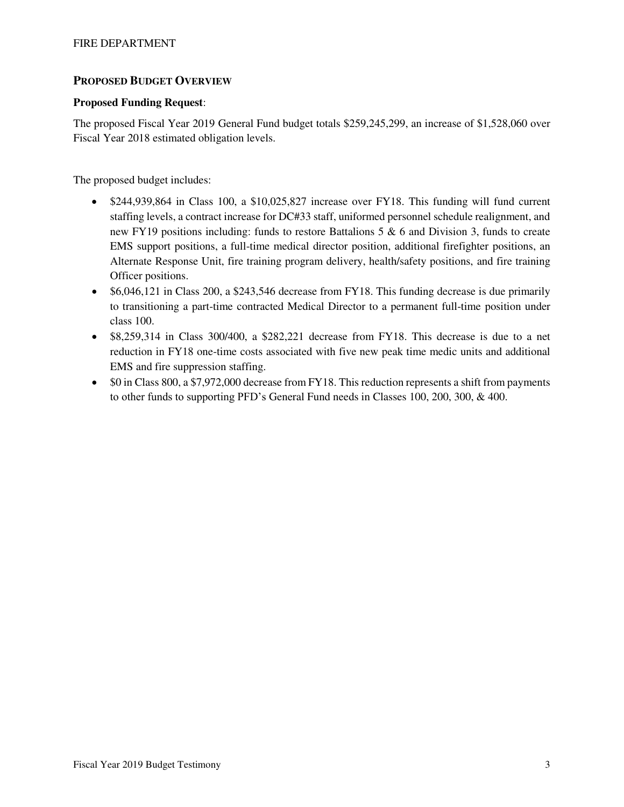## **PROPOSED BUDGET OVERVIEW**

#### **Proposed Funding Request**:

The proposed Fiscal Year 2019 General Fund budget totals \$259,245,299, an increase of \$1,528,060 over Fiscal Year 2018 estimated obligation levels.

The proposed budget includes:

- \$244,939,864 in Class 100, a \$10,025,827 increase over FY18. This funding will fund current staffing levels, a contract increase for DC#33 staff, uniformed personnel schedule realignment, and new FY19 positions including: funds to restore Battalions  $5 \& 6$  and Division 3, funds to create EMS support positions, a full-time medical director position, additional firefighter positions, an Alternate Response Unit, fire training program delivery, health/safety positions, and fire training Officer positions.
- \$6,046,121 in Class 200, a \$243,546 decrease from FY18. This funding decrease is due primarily to transitioning a part-time contracted Medical Director to a permanent full-time position under class 100.
- \$8,259,314 in Class 300/400, a \$282,221 decrease from FY18. This decrease is due to a net reduction in FY18 one-time costs associated with five new peak time medic units and additional EMS and fire suppression staffing.
- \$0 in Class 800, a \$7,972,000 decrease from FY18. This reduction represents a shift from payments to other funds to supporting PFD's General Fund needs in Classes 100, 200, 300, & 400.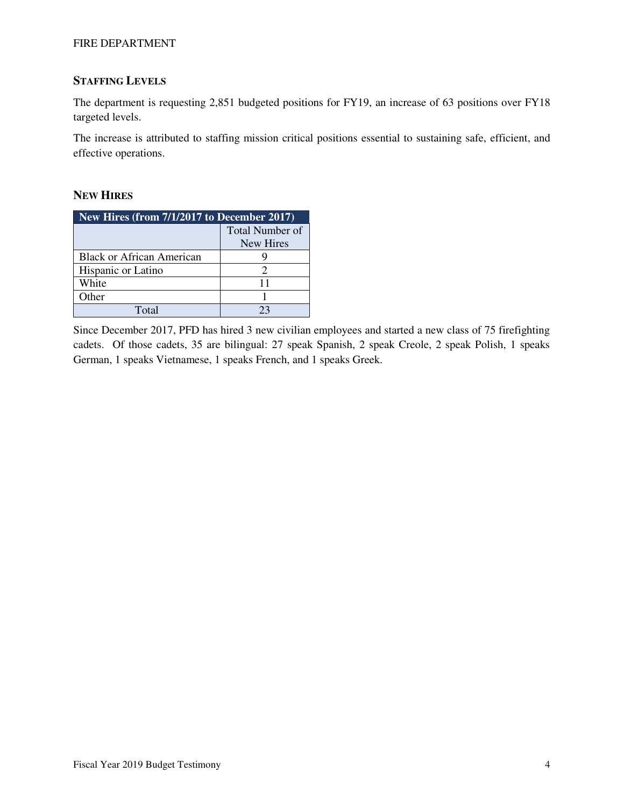#### FIRE DEPARTMENT

## **STAFFING LEVELS**

The department is requesting 2,851 budgeted positions for FY19, an increase of 63 positions over FY18 targeted levels.

The increase is attributed to staffing mission critical positions essential to sustaining safe, efficient, and effective operations.

## **NEW HIRES**

| New Hires (from 7/1/2017 to December 2017) |                 |  |  |  |  |  |
|--------------------------------------------|-----------------|--|--|--|--|--|
|                                            | Total Number of |  |  |  |  |  |
|                                            | New Hires       |  |  |  |  |  |
| <b>Black or African American</b>           |                 |  |  |  |  |  |
| Hispanic or Latino                         | 2               |  |  |  |  |  |
| White                                      | 11              |  |  |  |  |  |
| Other                                      |                 |  |  |  |  |  |
| Total                                      | 23              |  |  |  |  |  |

Since December 2017, PFD has hired 3 new civilian employees and started a new class of 75 firefighting cadets. Of those cadets, 35 are bilingual: 27 speak Spanish, 2 speak Creole, 2 speak Polish, 1 speaks German, 1 speaks Vietnamese, 1 speaks French, and 1 speaks Greek.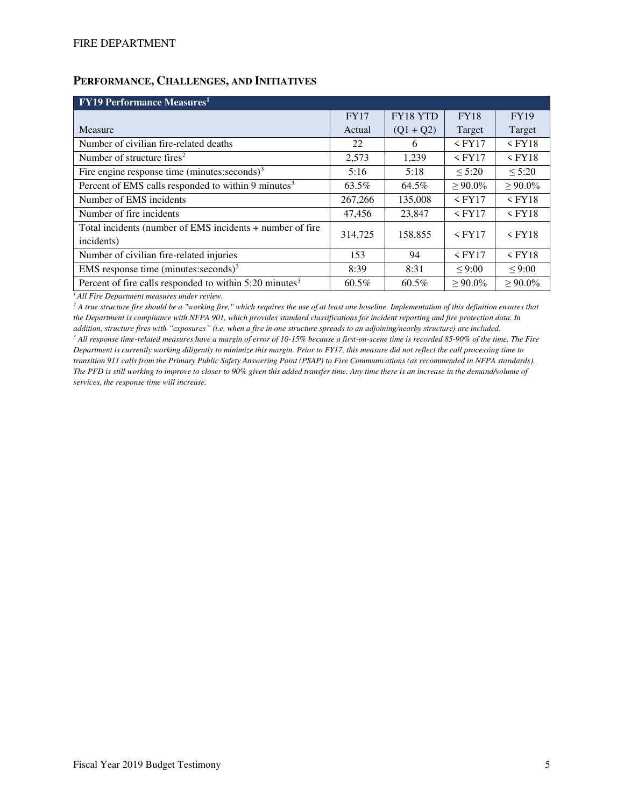## **PERFORMANCE, CHALLENGES, AND INITIATIVES**

| <b>FY19 Performance Measures</b> <sup>1</sup>                       |             |             |               |               |  |  |  |  |  |
|---------------------------------------------------------------------|-------------|-------------|---------------|---------------|--|--|--|--|--|
|                                                                     | <b>FY17</b> | FY18 YTD    | <b>FY18</b>   | <b>FY19</b>   |  |  |  |  |  |
| Measure                                                             | Actual      | $(Q1 + Q2)$ | Target        | Target        |  |  |  |  |  |
| Number of civilian fire-related deaths                              | 22          | 6           | $\leq$ FY17   | $<$ FY18      |  |  |  |  |  |
| Number of structure fires <sup>2</sup>                              | 2,573       | 1.239       | $\leq$ FY17   | $\leq$ FY18   |  |  |  |  |  |
| Fire engine response time (minutes: seconds) $3$                    | 5:16        | 5:18        | $\leq 5:20$   | $\leq 5:20$   |  |  |  |  |  |
| Percent of EMS calls responded to within 9 minutes <sup>3</sup>     | 63.5%       | 64.5%       | $\geq 90.0\%$ | $\geq 90.0\%$ |  |  |  |  |  |
| Number of EMS incidents                                             | 267,266     | 135,008     | $<$ FY17      | $<$ FY18      |  |  |  |  |  |
| Number of fire incidents                                            | 47,456      | 23,847      | $\leq$ FY17   | $\leq$ FY18   |  |  |  |  |  |
| Total incidents (number of EMS incidents + number of fire           | 314,725     | 158,855     | $\leq$ FY17   | $<$ FY18      |  |  |  |  |  |
| incidents)                                                          |             |             |               |               |  |  |  |  |  |
| Number of civilian fire-related injuries                            | 153         | 94          | $\leq$ FY17   | $<$ FY18      |  |  |  |  |  |
| EMS response time (minutes: seconds) $3$                            | 8:39        | 8:31        | < 9:00        | < 9:00        |  |  |  |  |  |
| Percent of fire calls responded to within 5:20 minutes <sup>3</sup> | $60.5\%$    | 60.5%       | $> 90.0\%$    | $> 90.0\%$    |  |  |  |  |  |

*<sup>1</sup>All Fire Department measures under review.* 

<sup>2</sup> A true structure fire should be a "working fire," which requires the use of at least one hoseline. Implementation of this definition ensures that *the Department is compliance with NFPA 901, which provides standard classifications for incident reporting and fire protection data. In addition, structure fires with "exposures" (i.e. when a fire in one structure spreads to an adjoining/nearby structure) are included.*

*3 All response time-related measures have a margin of error of 10-15% because a first-on-scene time is recorded 85-90% of the time. The Fire Department is currently working diligently to minimize this margin. Prior to FY17, this measure did not reflect the call processing time to transition 911 calls from the Primary Public Safety Answering Point (PSAP) to Fire Communications (as recommended in NFPA standards). The PFD is still working to improve to closer to 90% given this added transfer time. Any time there is an increase in the demand/volume of services, the response time will increase.*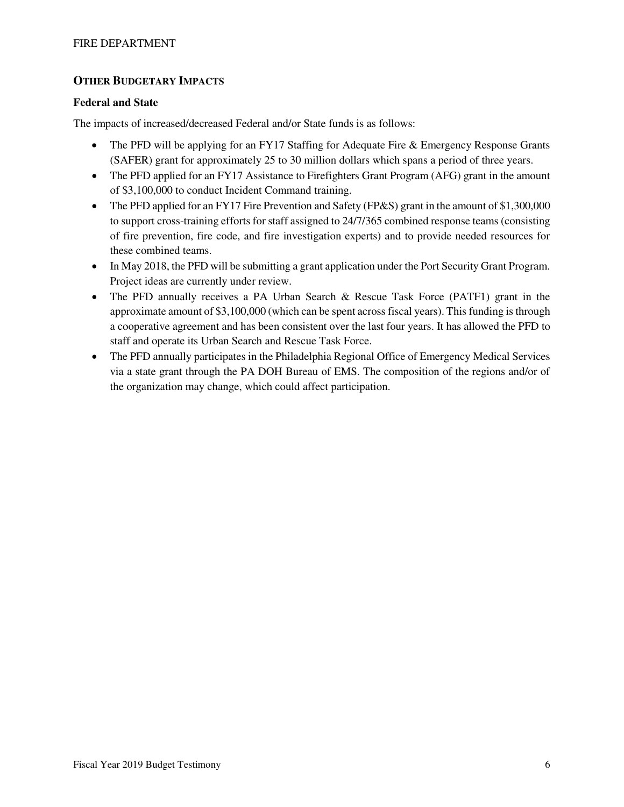## **OTHER BUDGETARY IMPACTS**

#### **Federal and State**

The impacts of increased/decreased Federal and/or State funds is as follows:

- The PFD will be applying for an FY17 Staffing for Adequate Fire & Emergency Response Grants (SAFER) grant for approximately 25 to 30 million dollars which spans a period of three years.
- The PFD applied for an FY17 Assistance to Firefighters Grant Program (AFG) grant in the amount of \$3,100,000 to conduct Incident Command training.
- The PFD applied for an FY17 Fire Prevention and Safety (FP&S) grant in the amount of \$1,300,000 to support cross-training efforts for staff assigned to 24/7/365 combined response teams (consisting of fire prevention, fire code, and fire investigation experts) and to provide needed resources for these combined teams.
- In May 2018, the PFD will be submitting a grant application under the Port Security Grant Program. Project ideas are currently under review.
- The PFD annually receives a PA Urban Search & Rescue Task Force (PATF1) grant in the approximate amount of \$3,100,000 (which can be spent across fiscal years). This funding is through a cooperative agreement and has been consistent over the last four years. It has allowed the PFD to staff and operate its Urban Search and Rescue Task Force.
- The PFD annually participates in the Philadelphia Regional Office of Emergency Medical Services via a state grant through the PA DOH Bureau of EMS. The composition of the regions and/or of the organization may change, which could affect participation.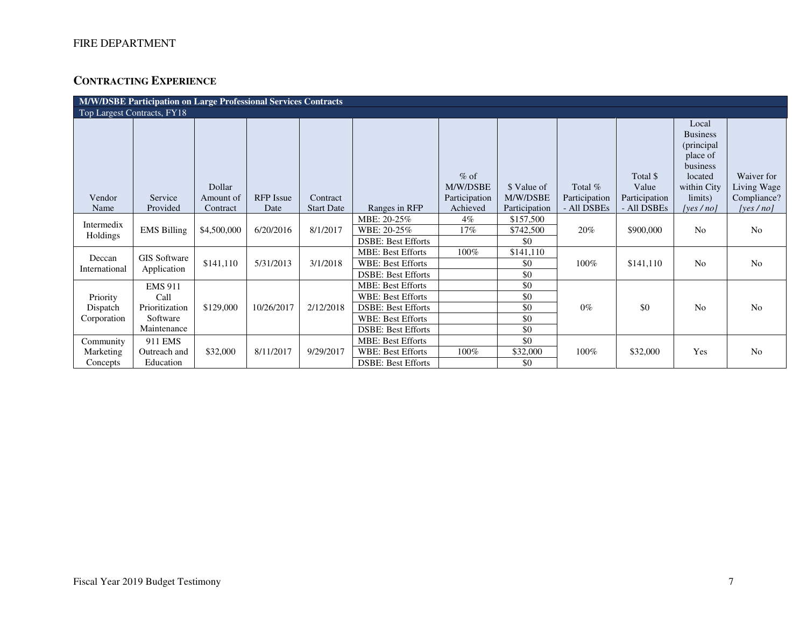# **CONTRACTING EXPERIENCE**

| M/W/DSBE Participation on Large Professional Services Contracts |                                                                     |                     |                  |                   |                                                                                                                                            |                                     |                                 |                          |                                    |                                                                                                      |                                          |
|-----------------------------------------------------------------|---------------------------------------------------------------------|---------------------|------------------|-------------------|--------------------------------------------------------------------------------------------------------------------------------------------|-------------------------------------|---------------------------------|--------------------------|------------------------------------|------------------------------------------------------------------------------------------------------|------------------------------------------|
|                                                                 | Top Largest Contracts, FY18                                         |                     |                  |                   |                                                                                                                                            |                                     |                                 |                          |                                    |                                                                                                      |                                          |
| Vendor                                                          | Service                                                             | Dollar<br>Amount of | <b>RFP</b> Issue | Contract          |                                                                                                                                            | $%$ of<br>M/W/DSBE<br>Participation | \$ Value of<br>M/W/DSBE         | Total %<br>Participation | Total \$<br>Value<br>Participation | Local<br><b>Business</b><br>(principal)<br>place of<br>business<br>located<br>within City<br>limits) | Waiver for<br>Living Wage<br>Compliance? |
| Name                                                            | Provided                                                            | Contract            | Date             | <b>Start Date</b> | Ranges in RFP                                                                                                                              | Achieved                            | Participation                   | - All DSBEs              | - All DSBEs                        | [ves/no]                                                                                             | [yes $/$ no]                             |
| Intermedix<br>Holdings                                          | <b>EMS Billing</b>                                                  | \$4,500,000         | 6/20/2016        | 8/1/2017          | MBE: 20-25%<br>WBE: 20-25%<br><b>DSBE: Best Efforts</b>                                                                                    | $4\%$<br>17%                        | \$157,500<br>\$742,500<br>\$0   | 20%                      | \$900,000                          | N <sub>0</sub>                                                                                       | N <sub>o</sub>                           |
| Deccan<br>International                                         | <b>GIS Software</b><br>Application                                  | \$141,110           | 5/31/2013        | 3/1/2018          | <b>MBE: Best Efforts</b><br><b>WBE: Best Efforts</b><br><b>DSBE: Best Efforts</b>                                                          | 100%                                | \$141,110<br>\$0<br>\$0         | $100\%$                  | \$141,110                          | N <sub>0</sub>                                                                                       | N <sub>o</sub>                           |
| Priority<br>Dispatch<br>Corporation                             | <b>EMS 911</b><br>Call<br>Prioritization<br>Software<br>Maintenance | \$129,000           | 10/26/2017       | 2/12/2018         | <b>MBE: Best Efforts</b><br><b>WBE: Best Efforts</b><br><b>DSBE: Best Efforts</b><br><b>WBE: Best Efforts</b><br><b>DSBE: Best Efforts</b> |                                     | \$0<br>\$0<br>\$0<br>\$0<br>\$0 | $0\%$                    | \$0                                | N <sub>0</sub>                                                                                       | N <sub>o</sub>                           |
| Community<br>Marketing<br>Concepts                              | 911 EMS<br>Outreach and<br>Education                                | \$32,000            | 8/11/2017        | 9/29/2017         | <b>MBE: Best Efforts</b><br><b>WBE: Best Efforts</b><br><b>DSBE: Best Efforts</b>                                                          | 100%                                | \$0<br>\$32,000<br>\$0          | 100%                     | \$32,000                           | Yes                                                                                                  | N <sub>o</sub>                           |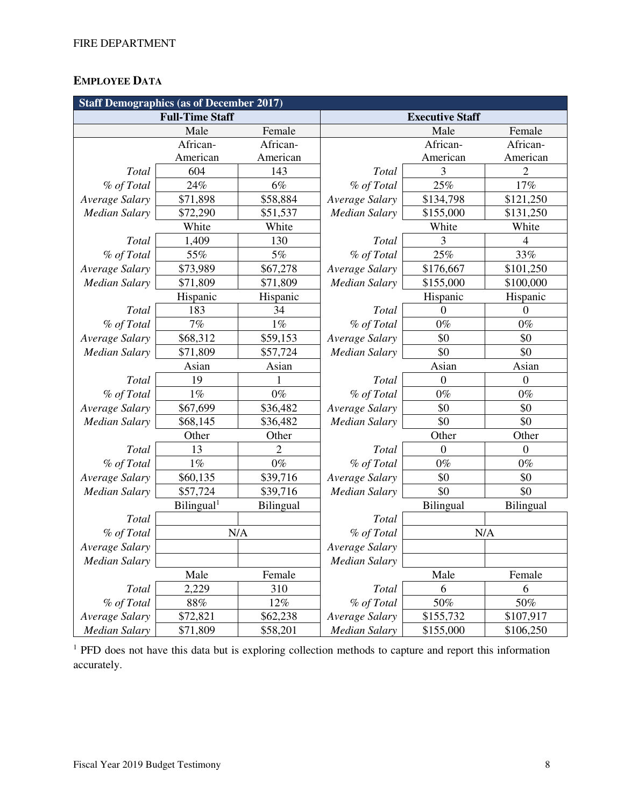# **EMPLOYEE DATA**

| <b>Staff Demographics (as of December 2017)</b> |                        |           |                      |                        |                |  |  |  |
|-------------------------------------------------|------------------------|-----------|----------------------|------------------------|----------------|--|--|--|
|                                                 | <b>Full-Time Staff</b> |           |                      | <b>Executive Staff</b> |                |  |  |  |
|                                                 | Male                   | Female    |                      | Male                   | Female         |  |  |  |
|                                                 | African-               | African-  |                      | African-               | African-       |  |  |  |
|                                                 | American               | American  |                      | American               | American       |  |  |  |
| Total                                           | 604                    | 143       | Total                | 3                      | 2              |  |  |  |
| % of Total                                      | 24%                    | $6\%$     | % of Total           | 25%                    | $17\%$         |  |  |  |
| Average Salary                                  | \$71,898               | \$58,884  | Average Salary       | \$134,798              | \$121,250      |  |  |  |
| <b>Median Salary</b>                            | \$72,290               | \$51,537  | <b>Median Salary</b> | \$155,000              | \$131,250      |  |  |  |
|                                                 | White                  | White     |                      | White                  | White          |  |  |  |
| Total                                           | 1,409                  | 130       | Total                | 3                      | 4              |  |  |  |
| % of Total                                      | 55%                    | $5\%$     | % of Total           | 25%                    | 33%            |  |  |  |
| Average Salary                                  | \$73,989               | \$67,278  | Average Salary       | \$176,667              | \$101,250      |  |  |  |
| <b>Median Salary</b>                            | \$71,809               | \$71,809  | <b>Median Salary</b> | \$155,000              | \$100,000      |  |  |  |
|                                                 | Hispanic               | Hispanic  |                      | Hispanic               | Hispanic       |  |  |  |
| Total                                           | 183                    | 34        | Total                | $\theta$               | $\overline{0}$ |  |  |  |
| % of Total                                      | 7%                     | $1\%$     | % of Total           | $0\%$                  | $0\%$          |  |  |  |
| Average Salary                                  | \$68,312               | \$59,153  | Average Salary       | \$0                    | \$0            |  |  |  |
| <b>Median Salary</b>                            | \$71,809               | \$57,724  | <b>Median Salary</b> | \$0                    | \$0            |  |  |  |
|                                                 | Asian                  | Asian     |                      | Asian                  | Asian          |  |  |  |
| Total                                           | 19                     |           | Total                | $\overline{0}$         | $\theta$       |  |  |  |
| % of Total                                      | $1\%$                  | $0\%$     | % of Total           | $0\%$                  | $0\%$          |  |  |  |
| Average Salary                                  | \$67,699               | \$36,482  | Average Salary       | \$0                    | \$0            |  |  |  |
| <b>Median Salary</b>                            | \$68,145               | \$36,482  | <b>Median Salary</b> | \$0                    | \$0            |  |  |  |
|                                                 | Other                  | Other     |                      | Other                  | Other          |  |  |  |
| Total                                           | 13                     | 2         | Total                | $\overline{0}$         | $\theta$       |  |  |  |
| % of Total                                      | $1\%$                  | $0\%$     | % of Total           | $0\%$                  | $0\%$          |  |  |  |
| Average Salary                                  | \$60,135               | \$39,716  | Average Salary       | \$0                    | \$0            |  |  |  |
| <b>Median Salary</b>                            | \$57,724               | \$39,716  | <b>Median Salary</b> | \$0                    | \$0            |  |  |  |
|                                                 | Bilingual <sup>1</sup> | Bilingual |                      | Bilingual              | Bilingual      |  |  |  |
| Total                                           |                        |           | Total                |                        |                |  |  |  |
| % of Total                                      |                        | N/A       | % of Total           | N/A                    |                |  |  |  |
| Average Salary                                  |                        |           | Average Salary       |                        |                |  |  |  |
| <b>Median Salary</b>                            |                        |           | <b>Median Salary</b> |                        |                |  |  |  |
|                                                 | Male                   | Female    |                      | Male                   | Female         |  |  |  |
| Total                                           | 2,229                  | 310       | Total                | 6                      | 6              |  |  |  |
| % of Total                                      | 88%                    | 12%       | % of Total           | 50%                    | 50%            |  |  |  |
| Average Salary                                  | \$72,821               | \$62,238  | Average Salary       | \$155,732              | \$107,917      |  |  |  |
| <b>Median Salary</b>                            | \$71,809               | \$58,201  | <b>Median Salary</b> | \$155,000              | \$106,250      |  |  |  |

<sup>1</sup> PFD does not have this data but is exploring collection methods to capture and report this information accurately.